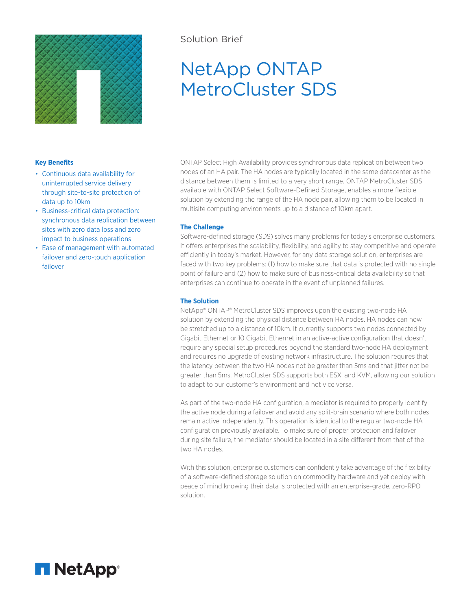

# Solution Brief

# NetApp ONTAP MetroCluster SDS

# **Key Benefits**

- Continuous data availability for uninterrupted service delivery through site-to-site protection of data up to 10km
- Business-critical data protection: synchronous data replication between sites with zero data loss and zero impact to business operations
- Ease of management with automated failover and zero-touch application failover

ONTAP Select High Availability provides synchronous data replication between two nodes of an HA pair. The HA nodes are typically located in the same datacenter as the distance between them is limited to a very short range. ONTAP MetroCluster SDS, available with ONTAP Select Software-Defined Storage, enables a more flexible solution by extending the range of the HA node pair, allowing them to be located in multisite computing environments up to a distance of 10km apart.

# **The Challenge**

Software-defined storage (SDS) solves many problems for today's enterprise customers. It offers enterprises the scalability, flexibility, and agility to stay competitive and operate efficiently in today's market. However, for any data storage solution, enterprises are faced with two key problems: (1) how to make sure that data is protected with no single point of failure and (2) how to make sure of business-critical data availability so that enterprises can continue to operate in the event of unplanned failures.

# **The Solution**

NetApp® ONTAP® MetroCluster SDS improves upon the existing two-node HA solution by extending the physical distance between HA nodes. HA nodes can now be stretched up to a distance of 10km. It currently supports two nodes connected by Gigabit Ethernet or 10 Gigabit Ethernet in an active-active configuration that doesn't require any special setup procedures beyond the standard two-node HA deployment and requires no upgrade of existing network infrastructure. The solution requires that the latency between the two HA nodes not be greater than 5ms and that jitter not be greater than 5ms. MetroCluster SDS supports both ESXi and KVM, allowing our solution to adapt to our customer's environment and not vice versa.

As part of the two-node HA configuration, a mediator is required to properly identify the active node during a failover and avoid any split-brain scenario where both nodes remain active independently. This operation is identical to the regular two-node HA configuration previously available. To make sure of proper protection and failover during site failure, the mediator should be located in a site different from that of the two HA nodes.

With this solution, enterprise customers can confidently take advantage of the flexibility of a software-defined storage solution on commodity hardware and yet deploy with peace of mind knowing their data is protected with an enterprise-grade, zero-RPO solution.